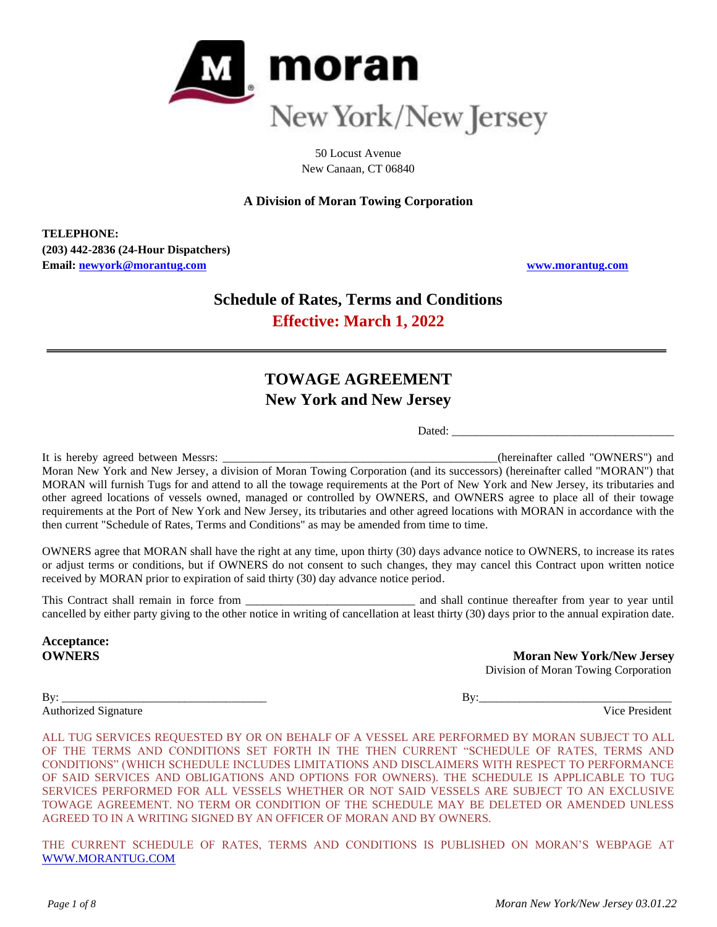

50 Locust Avenue New Canaan, CT 06840

# **A Division of Moran Towing Corporation**

**TELEPHONE: (203) 442-2836 (24-Hour Dispatchers) Email: [newyork@morantug.com](mailto:newyork@morantug.com) [www.morantug.com](http://www.morantug.com/)**

# **Schedule of Rates, Terms and Conditions Effective: March 1, 2022**

# **TOWAGE AGREEMENT New York and New Jersey**

Dated:

It is hereby agreed between Messrs: \_\_\_\_\_\_\_\_\_\_\_\_\_\_\_\_\_\_\_\_\_\_\_\_\_\_\_\_\_\_\_\_\_\_\_\_\_\_\_\_\_\_\_\_\_\_\_(hereinafter called "OWNERS") and Moran New York and New Jersey, a division of Moran Towing Corporation (and its successors) (hereinafter called "MORAN") that MORAN will furnish Tugs for and attend to all the towage requirements at the Port of New York and New Jersey, its tributaries and other agreed locations of vessels owned, managed or controlled by OWNERS, and OWNERS agree to place all of their towage requirements at the Port of New York and New Jersey, its tributaries and other agreed locations with MORAN in accordance with the then current "Schedule of Rates, Terms and Conditions" as may be amended from time to time.

OWNERS agree that MORAN shall have the right at any time, upon thirty (30) days advance notice to OWNERS, to increase its rates or adjust terms or conditions, but if OWNERS do not consent to such changes, they may cancel this Contract upon written notice received by MORAN prior to expiration of said thirty (30) day advance notice period.

This Contract shall remain in force from \_\_\_\_\_\_\_\_\_\_\_\_\_\_\_\_\_\_\_\_\_\_\_\_\_\_\_\_\_ and shall continue thereafter from year to year until cancelled by either party giving to the other notice in writing of cancellation at least thirty (30) days prior to the annual expiration date.

**Acceptance:**

Authorized Signature

**OWNERS** Moran New York/New Jersey Division of Moran Towing Corporation

By: \_\_\_\_\_\_\_\_\_\_\_\_\_\_\_\_\_\_\_\_\_\_\_\_\_\_\_\_\_\_\_\_\_\_\_ By:\_\_\_\_\_\_\_\_\_\_\_\_\_\_\_\_\_\_\_\_\_\_\_\_\_\_\_\_\_\_\_\_\_

ALL TUG SERVICES REQUESTED BY OR ON BEHALF OF A VESSEL ARE PERFORMED BY MORAN SUBJECT TO ALL OF THE TERMS AND CONDITIONS SET FORTH IN THE THEN CURRENT "SCHEDULE OF RATES, TERMS AND CONDITIONS" (WHICH SCHEDULE INCLUDES LIMITATIONS AND DISCLAIMERS WITH RESPECT TO PERFORMANCE OF SAID SERVICES AND OBLIGATIONS AND OPTIONS FOR OWNERS). THE SCHEDULE IS APPLICABLE TO TUG SERVICES PERFORMED FOR ALL VESSELS WHETHER OR NOT SAID VESSELS ARE SUBJECT TO AN EXCLUSIVE TOWAGE AGREEMENT. NO TERM OR CONDITION OF THE SCHEDULE MAY BE DELETED OR AMENDED UNLESS AGREED TO IN A WRITING SIGNED BY AN OFFICER OF MORAN AND BY OWNERS.

THE CURRENT SCHEDULE OF RATES, TERMS AND CONDITIONS IS PUBLISHED ON MORAN'S WEBPAGE AT [WWW.MORANTUG.COM](file://///MTCINFFS01/Groups/Sales/Port%20Rate%20Schedules/Current%20Schedules%20in%20Word%20and%20as%20pdf)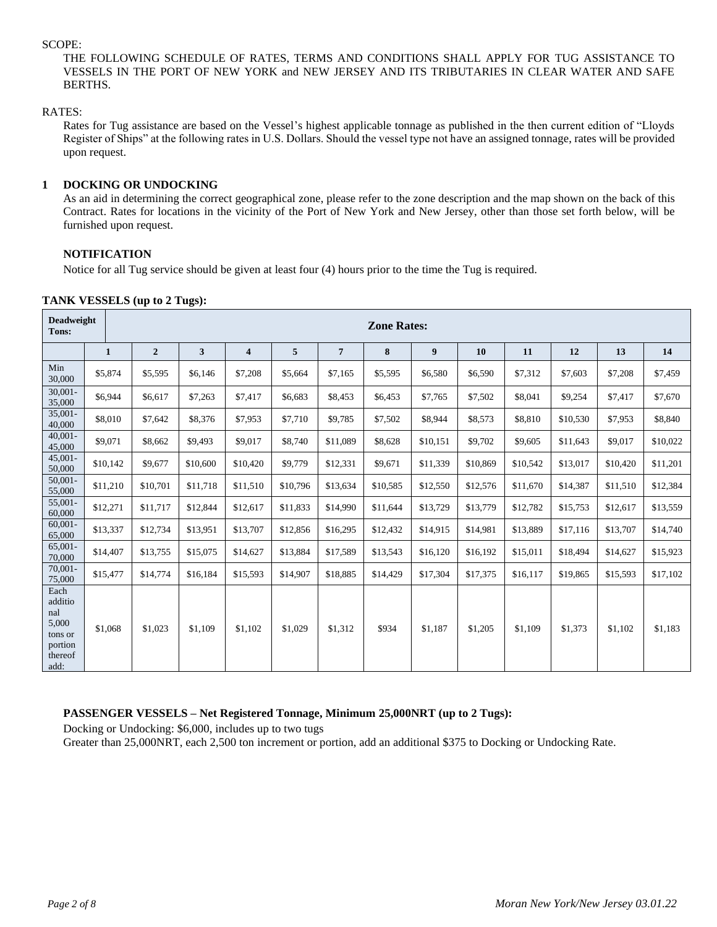#### SCOPE:

THE FOLLOWING SCHEDULE OF RATES, TERMS AND CONDITIONS SHALL APPLY FOR TUG ASSISTANCE TO VESSELS IN THE PORT OF NEW YORK and NEW JERSEY AND ITS TRIBUTARIES IN CLEAR WATER AND SAFE BERTHS.

## RATES:

Rates for Tug assistance are based on the Vessel's highest applicable tonnage as published in the then current edition of "Lloyds Register of Ships" at the following rates in U.S. Dollars. Should the vessel type not have an assigned tonnage, rates will be provided upon request.

## **1 DOCKING OR UNDOCKING**

As an aid in determining the correct geographical zone, please refer to the zone description and the map shown on the back of this Contract. Rates for locations in the vicinity of the Port of New York and New Jersey, other than those set forth below, will be furnished upon request.

# **NOTIFICATION**

Notice for all Tug service should be given at least four (4) hours prior to the time the Tug is required.

|  | TANK VESSELS (up to 2 Tugs): |  |  |
|--|------------------------------|--|--|
|--|------------------------------|--|--|

| <b>Deadweight</b><br>Tons:                                               |              | <b>Zone Rates:</b> |          |                         |          |                 |          |          |          |          |          |          |          |
|--------------------------------------------------------------------------|--------------|--------------------|----------|-------------------------|----------|-----------------|----------|----------|----------|----------|----------|----------|----------|
|                                                                          | $\mathbf{1}$ | $\overline{2}$     | 3        | $\overline{\mathbf{4}}$ | 5        | $7\phantom{.0}$ | 8        | 9        | 10       | 11       | 12       | 13       | 14       |
| Min<br>30,000                                                            | \$5,874      | \$5,595            | \$6,146  | \$7,208                 | \$5,664  | \$7,165         | \$5,595  | \$6,580  | \$6,590  | \$7,312  | \$7,603  | \$7,208  | \$7,459  |
| $30,001 -$<br>35,000                                                     | \$6,944      | \$6,617            | \$7,263  | \$7,417                 | \$6,683  | \$8,453         | \$6,453  | \$7,765  | \$7,502  | \$8,041  | \$9,254  | \$7,417  | \$7,670  |
| $35,001 -$<br>40,000                                                     | \$8,010      | \$7,642            | \$8,376  | \$7,953                 | \$7,710  | \$9,785         | \$7,502  | \$8,944  | \$8,573  | \$8,810  | \$10,530 | \$7,953  | \$8,840  |
| $40,001 -$<br>45,000                                                     | \$9,071      | \$8,662            | \$9,493  | \$9,017                 | \$8,740  | \$11,089        | \$8,628  | \$10,151 | \$9,702  | \$9,605  | \$11,643 | \$9,017  | \$10,022 |
| $45,001 -$<br>50,000                                                     | \$10,142     | \$9,677            | \$10,600 | \$10,420                | \$9,779  | \$12,331        | \$9,671  | \$11,339 | \$10,869 | \$10,542 | \$13,017 | \$10,420 | \$11,201 |
| $50,001 -$<br>55,000                                                     | \$11,210     | \$10,701           | \$11,718 | \$11,510                | \$10,796 | \$13,634        | \$10,585 | \$12,550 | \$12,576 | \$11,670 | \$14,387 | \$11,510 | \$12,384 |
| 55,001-<br>60,000                                                        | \$12,271     | \$11,717           | \$12,844 | \$12,617                | \$11,833 | \$14,990        | \$11,644 | \$13,729 | \$13,779 | \$12,782 | \$15,753 | \$12,617 | \$13,559 |
| $60,001 -$<br>65,000                                                     | \$13,337     | \$12,734           | \$13,951 | \$13,707                | \$12,856 | \$16,295        | \$12,432 | \$14,915 | \$14,981 | \$13,889 | \$17,116 | \$13,707 | \$14,740 |
| $65,001 -$<br>70,000                                                     | \$14,407     | \$13,755           | \$15,075 | \$14,627                | \$13,884 | \$17,589        | \$13,543 | \$16,120 | \$16,192 | \$15,011 | \$18,494 | \$14,627 | \$15,923 |
| $70,001 -$<br>75,000                                                     | \$15,477     | \$14,774           | \$16,184 | \$15,593                | \$14,907 | \$18,885        | \$14,429 | \$17,304 | \$17,375 | \$16,117 | \$19,865 | \$15,593 | \$17,102 |
| Each<br>additio<br>nal<br>5,000<br>tons or<br>portion<br>thereof<br>add: | \$1,068      | \$1,023            | \$1,109  | \$1,102                 | \$1,029  | \$1,312         | \$934    | \$1,187  | \$1,205  | \$1,109  | \$1,373  | \$1,102  | \$1,183  |

## **PASSENGER VESSELS – Net Registered Tonnage, Minimum 25,000NRT (up to 2 Tugs):**

Docking or Undocking: \$6,000, includes up to two tugs

Greater than 25,000NRT, each 2,500 ton increment or portion, add an additional \$375 to Docking or Undocking Rate.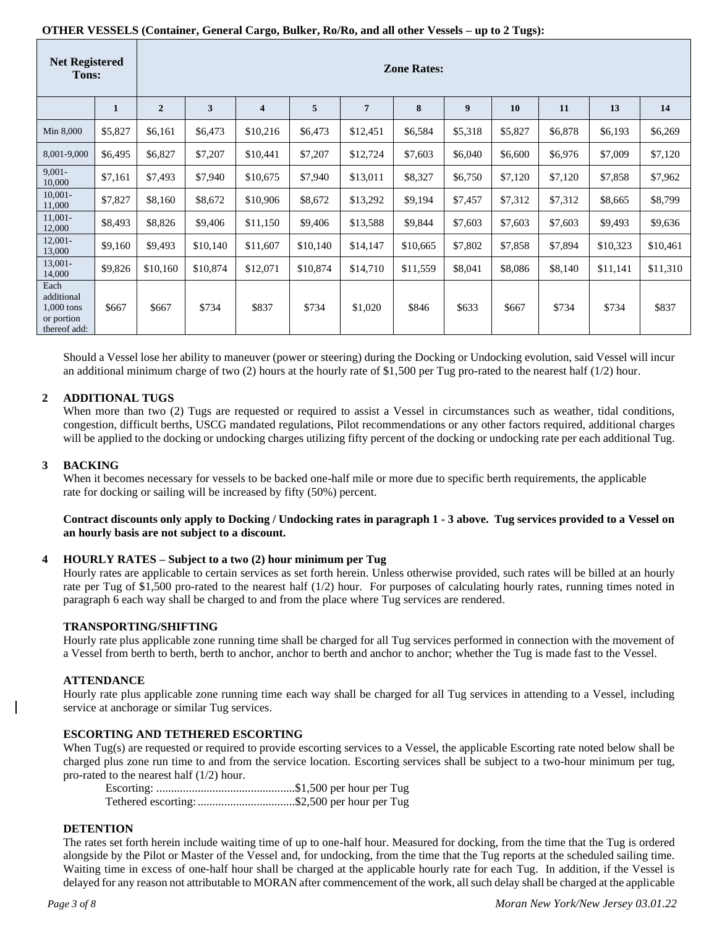# **OTHER VESSELS (Container, General Cargo, Bulker, Ro/Ro, and all other Vessels – up to 2 Tugs):**

| <b>Net Registered</b><br>Tons:                                 |         | <b>Zone Rates:</b> |          |                         |          |                |          |         |         |         |          |          |
|----------------------------------------------------------------|---------|--------------------|----------|-------------------------|----------|----------------|----------|---------|---------|---------|----------|----------|
|                                                                | 1       | $\overline{2}$     | 3        | $\overline{\mathbf{4}}$ | 5        | $\overline{7}$ | 8        | 9       | 10      | 11      | 13       | 14       |
| Min 8,000                                                      | \$5,827 | \$6,161            | \$6,473  | \$10,216                | \$6,473  | \$12,451       | \$6,584  | \$5,318 | \$5,827 | \$6,878 | \$6,193  | \$6,269  |
| 8,001-9,000                                                    | \$6,495 | \$6,827            | \$7,207  | \$10,441                | \$7,207  | \$12,724       | \$7,603  | \$6,040 | \$6,600 | \$6,976 | \$7,009  | \$7,120  |
| $9,001 -$<br>10,000                                            | \$7,161 | \$7,493            | \$7,940  | \$10,675                | \$7,940  | \$13,011       | \$8,327  | \$6,750 | \$7,120 | \$7,120 | \$7,858  | \$7,962  |
| $10,001 -$<br>11,000                                           | \$7,827 | \$8,160            | \$8,672  | \$10,906                | \$8,672  | \$13,292       | \$9,194  | \$7,457 | \$7,312 | \$7,312 | \$8,665  | \$8,799  |
| $11,001 -$<br>12,000                                           | \$8,493 | \$8,826            | \$9,406  | \$11,150                | \$9,406  | \$13,588       | \$9,844  | \$7,603 | \$7,603 | \$7,603 | \$9,493  | \$9,636  |
| $12,001 -$<br>13,000                                           | \$9,160 | \$9,493            | \$10,140 | \$11,607                | \$10,140 | \$14,147       | \$10,665 | \$7,802 | \$7,858 | \$7,894 | \$10,323 | \$10,461 |
| 13,001-<br>14,000                                              | \$9,826 | \$10,160           | \$10,874 | \$12,071                | \$10,874 | \$14,710       | \$11,559 | \$8,041 | \$8,086 | \$8,140 | \$11,141 | \$11,310 |
| Each<br>additional<br>1,000 tons<br>or portion<br>thereof add: | \$667   | \$667              | \$734    | \$837                   | \$734    | \$1,020        | \$846    | \$633   | \$667   | \$734   | \$734    | \$837    |

Should a Vessel lose her ability to maneuver (power or steering) during the Docking or Undocking evolution, said Vessel will incur an additional minimum charge of two (2) hours at the hourly rate of \$1,500 per Tug pro-rated to the nearest half  $(1/2)$  hour.

# **2 ADDITIONAL TUGS**

When more than two (2) Tugs are requested or required to assist a Vessel in circumstances such as weather, tidal conditions, congestion, difficult berths, USCG mandated regulations, Pilot recommendations or any other factors required, additional charges will be applied to the docking or undocking charges utilizing fifty percent of the docking or undocking rate per each additional Tug.

# **3 BACKING**

When it becomes necessary for vessels to be backed one-half mile or more due to specific berth requirements, the applicable rate for docking or sailing will be increased by fifty (50%) percent.

## **Contract discounts only apply to Docking / Undocking rates in paragraph 1 - 3 above. Tug services provided to a Vessel on an hourly basis are not subject to a discount.**

## **4 HOURLY RATES – Subject to a two (2) hour minimum per Tug**

Hourly rates are applicable to certain services as set forth herein. Unless otherwise provided, such rates will be billed at an hourly rate per Tug of \$1,500 pro-rated to the nearest half (1/2) hour. For purposes of calculating hourly rates, running times noted in paragraph 6 each way shall be charged to and from the place where Tug services are rendered.

## **TRANSPORTING/SHIFTING**

Hourly rate plus applicable zone running time shall be charged for all Tug services performed in connection with the movement of a Vessel from berth to berth, berth to anchor, anchor to berth and anchor to anchor; whether the Tug is made fast to the Vessel.

## **ATTENDANCE**

Hourly rate plus applicable zone running time each way shall be charged for all Tug services in attending to a Vessel, including service at anchorage or similar Tug services.

## **ESCORTING AND TETHERED ESCORTING**

When Tug(s) are requested or required to provide escorting services to a Vessel, the applicable Escorting rate noted below shall be charged plus zone run time to and from the service location. Escorting services shall be subject to a two-hour minimum per tug, pro-rated to the nearest half (1/2) hour.

Escorting: ...............................................\$1,500 per hour per Tug Tethered escorting:.................................\$2,500 per hour per Tug

## **DETENTION**

The rates set forth herein include waiting time of up to one-half hour. Measured for docking, from the time that the Tug is ordered alongside by the Pilot or Master of the Vessel and, for undocking, from the time that the Tug reports at the scheduled sailing time. Waiting time in excess of one-half hour shall be charged at the applicable hourly rate for each Tug. In addition, if the Vessel is delayed for any reason not attributable to MORAN after commencement of the work, all such delay shall be charged at the applicable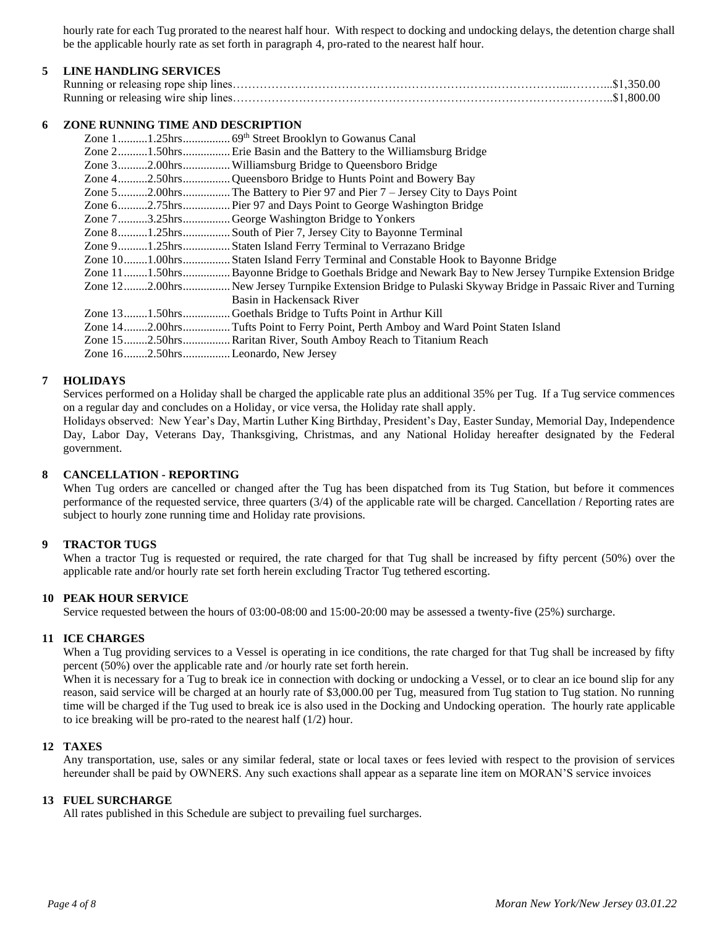hourly rate for each Tug prorated to the nearest half hour. With respect to docking and undocking delays, the detention charge shall be the applicable hourly rate as set forth in paragraph 4, pro-rated to the nearest half hour.

## **5 LINE HANDLING SERVICES**

## **6 ZONE RUNNING TIME AND DESCRIPTION**

|  | Zone 21.50hrs Erie Basin and the Battery to the Williamsburg Bridge                                       |
|--|-----------------------------------------------------------------------------------------------------------|
|  | Zone 32.00hrs Williamsburg Bridge to Queensboro Bridge                                                    |
|  | Zone 42.50hrsQueensboro Bridge to Hunts Point and Bowery Bay                                              |
|  |                                                                                                           |
|  | Zone 62.75hrs Pier 97 and Days Point to George Washington Bridge                                          |
|  | Zone 73.25hrsGeorge Washington Bridge to Yonkers                                                          |
|  | Zone 81.25hrsSouth of Pier 7, Jersey City to Bayonne Terminal                                             |
|  | Zone 91.25hrs Staten Island Ferry Terminal to Verrazano Bridge                                            |
|  | Zone 101.00hrs Staten Island Ferry Terminal and Constable Hook to Bayonne Bridge                          |
|  | Zone 111.50hrs Bayonne Bridge to Goethals Bridge and Newark Bay to New Jersey Turnpike Extension Bridge   |
|  | Zone 122.00hrs New Jersey Turnpike Extension Bridge to Pulaski Skyway Bridge in Passaic River and Turning |
|  | Basin in Hackensack River                                                                                 |
|  | Zone 131.50hrsGoethals Bridge to Tufts Point in Arthur Kill                                               |
|  | Zone 142.00hrsTufts Point to Ferry Point, Perth Amboy and Ward Point Staten Island                        |
|  | Zone 152.50hrsRaritan River, South Amboy Reach to Titanium Reach                                          |
|  | Zone 162.50hrsLeonardo, New Jersey                                                                        |
|  |                                                                                                           |

## **7 HOLIDAYS**

Services performed on a Holiday shall be charged the applicable rate plus an additional 35% per Tug. If a Tug service commences on a regular day and concludes on a Holiday, or vice versa, the Holiday rate shall apply.

Holidays observed: New Year's Day, Martin Luther King Birthday, President's Day, Easter Sunday, Memorial Day, Independence Day, Labor Day, Veterans Day, Thanksgiving, Christmas, and any National Holiday hereafter designated by the Federal government.

#### **8 CANCELLATION - REPORTING**

When Tug orders are cancelled or changed after the Tug has been dispatched from its Tug Station, but before it commences performance of the requested service, three quarters (3/4) of the applicable rate will be charged. Cancellation / Reporting rates are subject to hourly zone running time and Holiday rate provisions.

#### **9 TRACTOR TUGS**

When a tractor Tug is requested or required, the rate charged for that Tug shall be increased by fifty percent (50%) over the applicable rate and/or hourly rate set forth herein excluding Tractor Tug tethered escorting.

#### **10 PEAK HOUR SERVICE**

Service requested between the hours of 03:00-08:00 and 15:00-20:00 may be assessed a twenty-five (25%) surcharge.

#### **11 ICE CHARGES**

When a Tug providing services to a Vessel is operating in ice conditions, the rate charged for that Tug shall be increased by fifty percent (50%) over the applicable rate and /or hourly rate set forth herein.

When it is necessary for a Tug to break ice in connection with docking or undocking a Vessel, or to clear an ice bound slip for any reason, said service will be charged at an hourly rate of \$3,000.00 per Tug, measured from Tug station to Tug station. No running time will be charged if the Tug used to break ice is also used in the Docking and Undocking operation. The hourly rate applicable to ice breaking will be pro-rated to the nearest half (1/2) hour.

## **12 TAXES**

Any transportation, use, sales or any similar federal, state or local taxes or fees levied with respect to the provision of services hereunder shall be paid by OWNERS. Any such exactions shall appear as a separate line item on MORAN'S service invoices

#### **13 FUEL SURCHARGE**

All rates published in this Schedule are subject to prevailing fuel surcharges.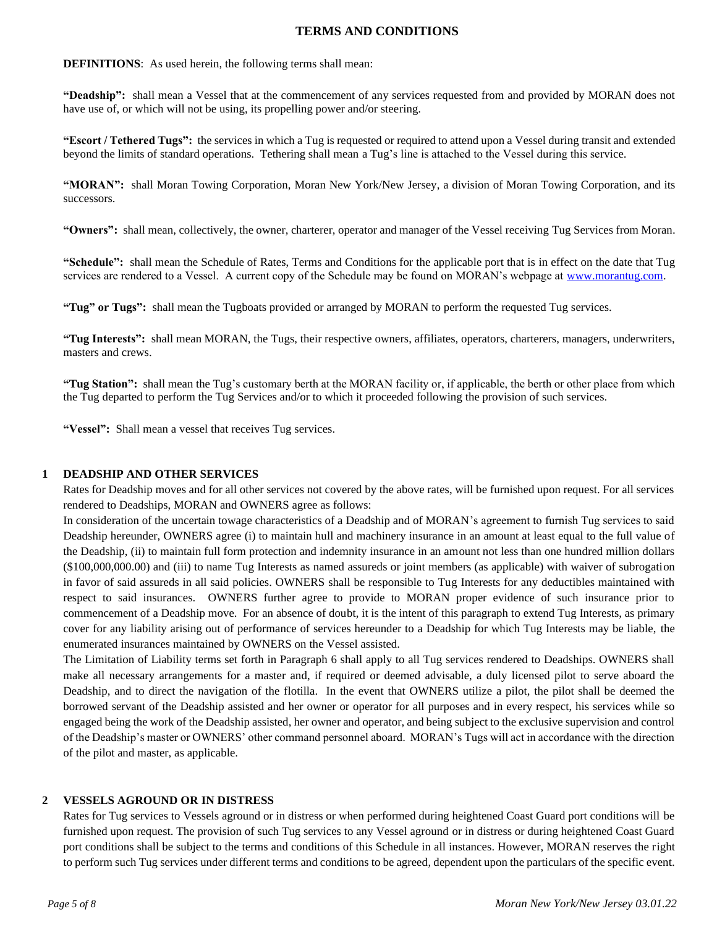## **TERMS AND CONDITIONS**

## **DEFINITIONS**: As used herein, the following terms shall mean:

**"Deadship":** shall mean a Vessel that at the commencement of any services requested from and provided by MORAN does not have use of, or which will not be using, its propelling power and/or steering.

**"Escort / Tethered Tugs":** the services in which a Tug is requested or required to attend upon a Vessel during transit and extended beyond the limits of standard operations. Tethering shall mean a Tug's line is attached to the Vessel during this service.

**"MORAN":** shall Moran Towing Corporation, Moran New York/New Jersey, a division of Moran Towing Corporation, and its successors.

**"Owners":** shall mean, collectively, the owner, charterer, operator and manager of the Vessel receiving Tug Services from Moran.

**"Schedule":** shall mean the Schedule of Rates, Terms and Conditions for the applicable port that is in effect on the date that Tug services are rendered to a Vessel. A current copy of the Schedule may be found on MORAN's webpage at [www.morantug.com.](http://www.morantug.com/)

**"Tug" or Tugs":** shall mean the Tugboats provided or arranged by MORAN to perform the requested Tug services.

**"Tug Interests":** shall mean MORAN, the Tugs, their respective owners, affiliates, operators, charterers, managers, underwriters, masters and crews.

**"Tug Station":** shall mean the Tug's customary berth at the MORAN facility or, if applicable, the berth or other place from which the Tug departed to perform the Tug Services and/or to which it proceeded following the provision of such services.

**"Vessel":** Shall mean a vessel that receives Tug services.

## **1 DEADSHIP AND OTHER SERVICES**

Rates for Deadship moves and for all other services not covered by the above rates, will be furnished upon request. For all services rendered to Deadships, MORAN and OWNERS agree as follows:

In consideration of the uncertain towage characteristics of a Deadship and of MORAN's agreement to furnish Tug services to said Deadship hereunder, OWNERS agree (i) to maintain hull and machinery insurance in an amount at least equal to the full value of the Deadship, (ii) to maintain full form protection and indemnity insurance in an amount not less than one hundred million dollars (\$100,000,000.00) and (iii) to name Tug Interests as named assureds or joint members (as applicable) with waiver of subrogation in favor of said assureds in all said policies. OWNERS shall be responsible to Tug Interests for any deductibles maintained with respect to said insurances. OWNERS further agree to provide to MORAN proper evidence of such insurance prior to commencement of a Deadship move. For an absence of doubt, it is the intent of this paragraph to extend Tug Interests, as primary cover for any liability arising out of performance of services hereunder to a Deadship for which Tug Interests may be liable, the enumerated insurances maintained by OWNERS on the Vessel assisted.

The Limitation of Liability terms set forth in Paragraph 6 shall apply to all Tug services rendered to Deadships. OWNERS shall make all necessary arrangements for a master and, if required or deemed advisable, a duly licensed pilot to serve aboard the Deadship, and to direct the navigation of the flotilla. In the event that OWNERS utilize a pilot, the pilot shall be deemed the borrowed servant of the Deadship assisted and her owner or operator for all purposes and in every respect, his services while so engaged being the work of the Deadship assisted, her owner and operator, and being subject to the exclusive supervision and control of the Deadship's master or OWNERS' other command personnel aboard. MORAN's Tugs will act in accordance with the direction of the pilot and master, as applicable.

## **2 VESSELS AGROUND OR IN DISTRESS**

Rates for Tug services to Vessels aground or in distress or when performed during heightened Coast Guard port conditions will be furnished upon request. The provision of such Tug services to any Vessel aground or in distress or during heightened Coast Guard port conditions shall be subject to the terms and conditions of this Schedule in all instances. However, MORAN reserves the right to perform such Tug services under different terms and conditions to be agreed, dependent upon the particulars of the specific event.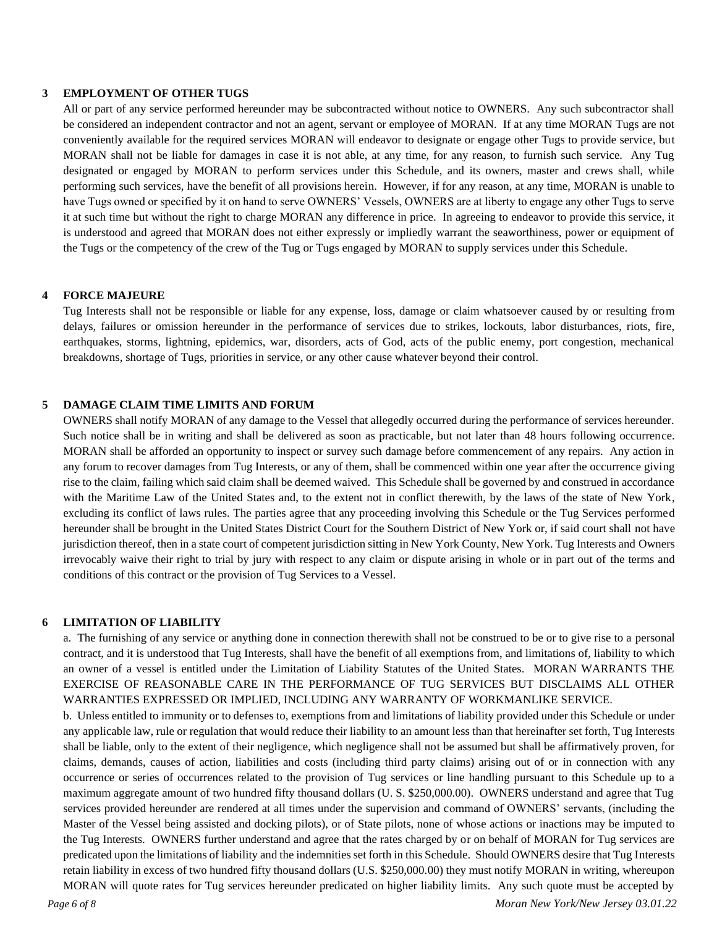#### **3 EMPLOYMENT OF OTHER TUGS**

All or part of any service performed hereunder may be subcontracted without notice to OWNERS. Any such subcontractor shall be considered an independent contractor and not an agent, servant or employee of MORAN. If at any time MORAN Tugs are not conveniently available for the required services MORAN will endeavor to designate or engage other Tugs to provide service, but MORAN shall not be liable for damages in case it is not able, at any time, for any reason, to furnish such service. Any Tug designated or engaged by MORAN to perform services under this Schedule, and its owners, master and crews shall, while performing such services, have the benefit of all provisions herein. However, if for any reason, at any time, MORAN is unable to have Tugs owned or specified by it on hand to serve OWNERS' Vessels, OWNERS are at liberty to engage any other Tugs to serve it at such time but without the right to charge MORAN any difference in price. In agreeing to endeavor to provide this service, it is understood and agreed that MORAN does not either expressly or impliedly warrant the seaworthiness, power or equipment of the Tugs or the competency of the crew of the Tug or Tugs engaged by MORAN to supply services under this Schedule.

## **4 FORCE MAJEURE**

Tug Interests shall not be responsible or liable for any expense, loss, damage or claim whatsoever caused by or resulting from delays, failures or omission hereunder in the performance of services due to strikes, lockouts, labor disturbances, riots, fire, earthquakes, storms, lightning, epidemics, war, disorders, acts of God, acts of the public enemy, port congestion, mechanical breakdowns, shortage of Tugs, priorities in service, or any other cause whatever beyond their control.

# **5 DAMAGE CLAIM TIME LIMITS AND FORUM**

OWNERS shall notify MORAN of any damage to the Vessel that allegedly occurred during the performance of services hereunder. Such notice shall be in writing and shall be delivered as soon as practicable, but not later than 48 hours following occurrence. MORAN shall be afforded an opportunity to inspect or survey such damage before commencement of any repairs. Any action in any forum to recover damages from Tug Interests, or any of them, shall be commenced within one year after the occurrence giving rise to the claim, failing which said claim shall be deemed waived. This Schedule shall be governed by and construed in accordance with the Maritime Law of the United States and, to the extent not in conflict therewith, by the laws of the state of New York, excluding its conflict of laws rules. The parties agree that any proceeding involving this Schedule or the Tug Services performed hereunder shall be brought in the United States District Court for the Southern District of New York or, if said court shall not have jurisdiction thereof, then in a state court of competent jurisdiction sitting in New York County, New York. Tug Interests and Owners irrevocably waive their right to trial by jury with respect to any claim or dispute arising in whole or in part out of the terms and conditions of this contract or the provision of Tug Services to a Vessel.

#### **6 LIMITATION OF LIABILITY**

a. The furnishing of any service or anything done in connection therewith shall not be construed to be or to give rise to a personal contract, and it is understood that Tug Interests, shall have the benefit of all exemptions from, and limitations of, liability to which an owner of a vessel is entitled under the Limitation of Liability Statutes of the United States. MORAN WARRANTS THE EXERCISE OF REASONABLE CARE IN THE PERFORMANCE OF TUG SERVICES BUT DISCLAIMS ALL OTHER WARRANTIES EXPRESSED OR IMPLIED, INCLUDING ANY WARRANTY OF WORKMANLIKE SERVICE.

b. Unless entitled to immunity or to defenses to, exemptions from and limitations of liability provided under this Schedule or under any applicable law, rule or regulation that would reduce their liability to an amount less than that hereinafter set forth, Tug Interests shall be liable, only to the extent of their negligence, which negligence shall not be assumed but shall be affirmatively proven, for claims, demands, causes of action, liabilities and costs (including third party claims) arising out of or in connection with any occurrence or series of occurrences related to the provision of Tug services or line handling pursuant to this Schedule up to a maximum aggregate amount of two hundred fifty thousand dollars (U. S. \$250,000.00). OWNERS understand and agree that Tug services provided hereunder are rendered at all times under the supervision and command of OWNERS' servants, (including the Master of the Vessel being assisted and docking pilots), or of State pilots, none of whose actions or inactions may be imputed to the Tug Interests. OWNERS further understand and agree that the rates charged by or on behalf of MORAN for Tug services are predicated upon the limitations of liability and the indemnities set forth in this Schedule. Should OWNERS desire that Tug Interests retain liability in excess of two hundred fifty thousand dollars (U.S. \$250,000.00) they must notify MORAN in writing, whereupon MORAN will quote rates for Tug services hereunder predicated on higher liability limits. Any such quote must be accepted by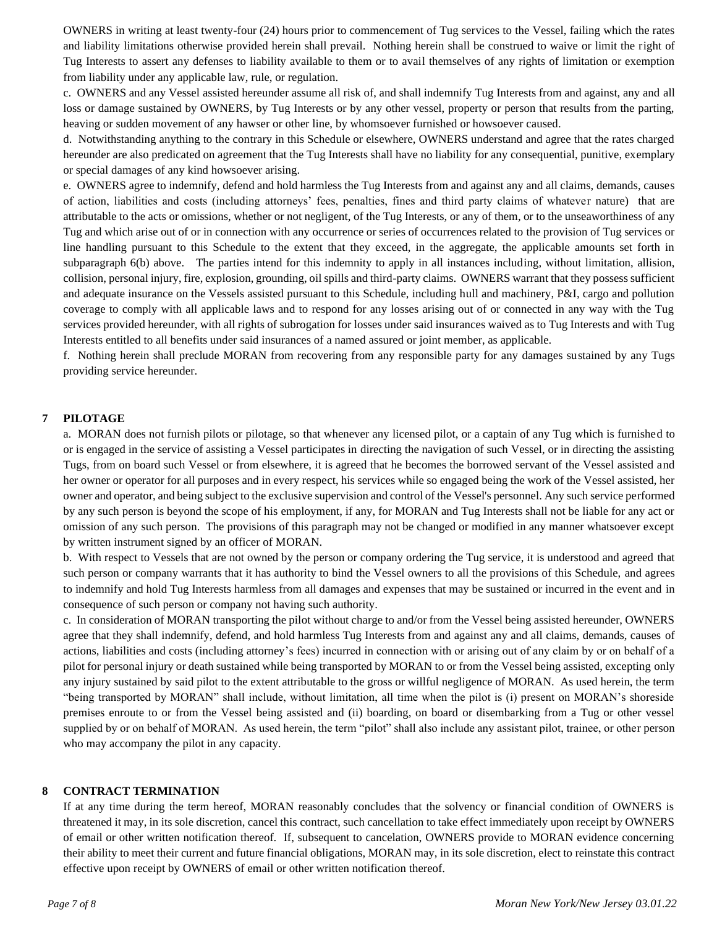OWNERS in writing at least twenty-four (24) hours prior to commencement of Tug services to the Vessel, failing which the rates and liability limitations otherwise provided herein shall prevail. Nothing herein shall be construed to waive or limit the right of Tug Interests to assert any defenses to liability available to them or to avail themselves of any rights of limitation or exemption from liability under any applicable law, rule, or regulation.

c. OWNERS and any Vessel assisted hereunder assume all risk of, and shall indemnify Tug Interests from and against, any and all loss or damage sustained by OWNERS, by Tug Interests or by any other vessel, property or person that results from the parting, heaving or sudden movement of any hawser or other line, by whomsoever furnished or howsoever caused.

d. Notwithstanding anything to the contrary in this Schedule or elsewhere, OWNERS understand and agree that the rates charged hereunder are also predicated on agreement that the Tug Interests shall have no liability for any consequential, punitive, exemplary or special damages of any kind howsoever arising.

e. OWNERS agree to indemnify, defend and hold harmless the Tug Interests from and against any and all claims, demands, causes of action, liabilities and costs (including attorneys' fees, penalties, fines and third party claims of whatever nature) that are attributable to the acts or omissions, whether or not negligent, of the Tug Interests, or any of them, or to the unseaworthiness of any Tug and which arise out of or in connection with any occurrence or series of occurrences related to the provision of Tug services or line handling pursuant to this Schedule to the extent that they exceed, in the aggregate, the applicable amounts set forth in subparagraph 6(b) above. The parties intend for this indemnity to apply in all instances including, without limitation, allision, collision, personal injury, fire, explosion, grounding, oil spills and third-party claims. OWNERS warrant that they possess sufficient and adequate insurance on the Vessels assisted pursuant to this Schedule, including hull and machinery, P&I, cargo and pollution coverage to comply with all applicable laws and to respond for any losses arising out of or connected in any way with the Tug services provided hereunder, with all rights of subrogation for losses under said insurances waived as to Tug Interests and with Tug Interests entitled to all benefits under said insurances of a named assured or joint member, as applicable.

f. Nothing herein shall preclude MORAN from recovering from any responsible party for any damages sustained by any Tugs providing service hereunder.

## **7 PILOTAGE**

a. MORAN does not furnish pilots or pilotage, so that whenever any licensed pilot, or a captain of any Tug which is furnished to or is engaged in the service of assisting a Vessel participates in directing the navigation of such Vessel, or in directing the assisting Tugs, from on board such Vessel or from elsewhere, it is agreed that he becomes the borrowed servant of the Vessel assisted and her owner or operator for all purposes and in every respect, his services while so engaged being the work of the Vessel assisted, her owner and operator, and being subject to the exclusive supervision and control of the Vessel's personnel. Any such service performed by any such person is beyond the scope of his employment, if any, for MORAN and Tug Interests shall not be liable for any act or omission of any such person. The provisions of this paragraph may not be changed or modified in any manner whatsoever except by written instrument signed by an officer of MORAN.

b. With respect to Vessels that are not owned by the person or company ordering the Tug service, it is understood and agreed that such person or company warrants that it has authority to bind the Vessel owners to all the provisions of this Schedule, and agrees to indemnify and hold Tug Interests harmless from all damages and expenses that may be sustained or incurred in the event and in consequence of such person or company not having such authority.

c. In consideration of MORAN transporting the pilot without charge to and/or from the Vessel being assisted hereunder, OWNERS agree that they shall indemnify, defend, and hold harmless Tug Interests from and against any and all claims, demands, causes of actions, liabilities and costs (including attorney's fees) incurred in connection with or arising out of any claim by or on behalf of a pilot for personal injury or death sustained while being transported by MORAN to or from the Vessel being assisted, excepting only any injury sustained by said pilot to the extent attributable to the gross or willful negligence of MORAN. As used herein, the term "being transported by MORAN" shall include, without limitation, all time when the pilot is (i) present on MORAN's shoreside premises enroute to or from the Vessel being assisted and (ii) boarding, on board or disembarking from a Tug or other vessel supplied by or on behalf of MORAN. As used herein, the term "pilot" shall also include any assistant pilot, trainee, or other person who may accompany the pilot in any capacity.

#### **8 CONTRACT TERMINATION**

If at any time during the term hereof, MORAN reasonably concludes that the solvency or financial condition of OWNERS is threatened it may, in its sole discretion, cancel this contract, such cancellation to take effect immediately upon receipt by OWNERS of email or other written notification thereof. If, subsequent to cancelation, OWNERS provide to MORAN evidence concerning their ability to meet their current and future financial obligations, MORAN may, in its sole discretion, elect to reinstate this contract effective upon receipt by OWNERS of email or other written notification thereof.